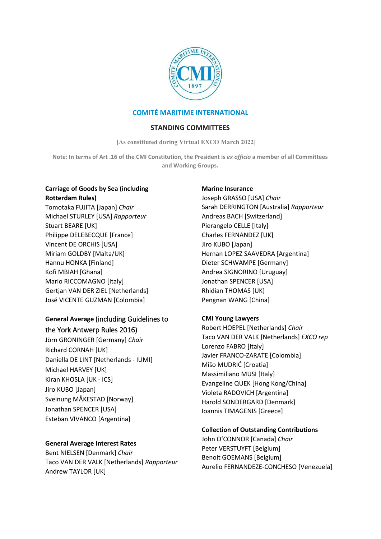

# **COMITÉ MARITIME INTERNATIONAL**

### **STANDING COMMITTEES**

**[As constituted during Virtual EXCO March 2022]**

**Note: In terms of Art .16 of the CMI Constitution, the President is** *ex officio* **a member of all Committees and Working Groups.**

### **Carriage of Goods by Sea (including Rotterdam Rules)**

Tomotaka FUJITA [Japan] *Chair*  Michael STURLEY [USA] *Rapporteur*  Stuart BEARE [UK] Philippe DELEBECQUE [France] Vincent DE ORCHIS [USA] Miriam GOLDBY [Malta/UK] Hannu HONKA [Finland] Kofi MBIAH [Ghana] Mario RICCOMAGNO [Italy] Gertjan VAN DER ZIEL [Netherlands] José VICENTE GUZMAN [Colombia]

# **General Average** (including Guidelines to the York Antwerp Rules 2016)

Jörn GRONINGER [Germany] *Chair* Richard CORNAH [UK] Daniella DE LINT [Netherlands - IUMI] Michael HARVEY [UK] Kiran KHOSLA [UK - ICS] Jiro KUBO [Japan] Sveinung MÅKESTAD [Norway] Jonathan SPENCER [USA] Esteban VIVANCO [Argentina]

## **General Average Interest Rates**

Bent NIELSEN [Denmark] *Chair* Taco VAN DER VALK [Netherlands] *Rapporteur* Andrew TAYLOR [UK]

## **Marine Insurance**

Joseph GRASSO [USA] *Chair* Sarah DERRINGTON [Australia] *Rapporteur* Andreas BACH [Switzerland] Pierangelo CELLE [Italy] Charles FERNANDEZ [UK] Jiro KUBO [Japan] Hernan LOPEZ SAAVEDRA [Argentina] Dieter SCHWAMPE [Germany] Andrea SIGNORINO [Uruguay] Jonathan SPENCER [USA] Rhidian THOMAS [UK] Pengnan WANG [China]

## **CMI Young Lawyers**

Robert HOEPEL [Netherlands] *Chair* Taco VAN DER VALK [Netherlands] *EXCO rep* Lorenzo FABRO [Italy] Javier FRANCO-ZARATE [Colombia] Mišo MUDRIĆ [Croatia] Massimiliano MUSI [Italy] Evangeline QUEK [Hong Kong/China] Violeta RADOVICH [Argentina] Harold SONDERGARD [Denmark] Ioannis TIMAGENIS [Greece]

### **Collection of Outstanding Contributions**

John O'CONNOR [Canada] *Chair*  Peter VERSTUYFT [Belgium] Benoit GOEMANS [Belgium] Aurelio FERNANDEZE-CONCHESO [Venezuela]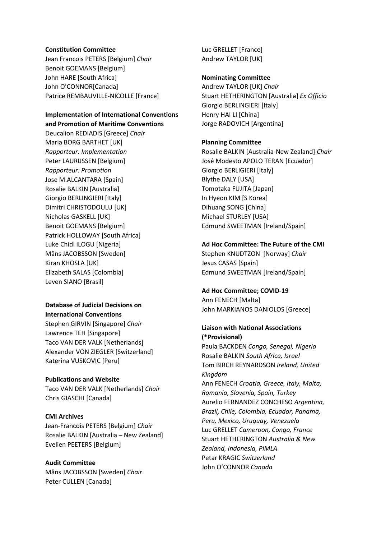#### **Constitution Committee**

Jean Francois PETERS [Belgium] *Chair* Benoit GOEMANS [Belgium] John HARE [South Africa] John O'CONNOR[Canada] Patrice REMBAUVILLE-NICOLLE [France]

#### **Implementation of International Conventions and Promotion of Maritime Conventions**

Deucalion REDIADIS [Greece] *Chair* Maria BORG BARTHET [UK] *Rapporteur: Implementation*  Peter LAURIJSSEN [Belgium] *Rapporteur: Promotion* Jose M.ALCANTARA [Spain] Rosalie BALKIN [Australia] Giorgio BERLINGIERI [Italy] Dimitri CHRISTODOULU [UK] Nicholas GASKELL [UK] Benoit GOEMANS [Belgium] Patrick HOLLOWAY [South Africa] Luke Chidi ILOGU [Nigeria] Måns JACOBSSON [Sweden] Kiran KHOSLA [UK] Elizabeth SALAS [Colombia] Leven SIANO [Brasil]

### **Database of Judicial Decisions on International Conventions**

Stephen GIRVIN [Singapore] *Chair* Lawrence TEH [Singapore] Taco VAN DER VALK [Netherlands] Alexander VON ZIEGLER [Switzerland] Katerina VUSKOVIC [Peru]

### **Publications and Website**

Taco VAN DER VALK [Netherlands] *Chair* Chris GIASCHI [Canada]

### **CMI Archives**

Jean-Francois PETERS [Belgium] *Chair* Rosalie BALKIN [Australia – New Zealand] Evelien PEETERS [Belgium]

# **Audit Committee**

Måns JACOBSSON [Sweden] *Chair* Peter CULLEN [Canada]

Luc GRELLET [France] Andrew TAYLOR [UK]

#### **Nominating Committee**

Andrew TAYLOR [UK] *Chair*  Stuart HETHERINGTON [Australia] *Ex Officio* Giorgio BERLINGIERI [Italy] Henry HAI LI [China] Jorge RADOVICH [Argentina]

### **Planning Committee**

Rosalie BALKIN [Australia-New Zealand] *Chair*  José Modesto APOLO TERAN [Ecuador] Giorgio BERLIGIERI [Italy] Blythe DALY [USA] Tomotaka FUJITA [Japan] In Hyeon KIM [S Korea] Dihuang SONG [China] Michael STURLEY [USA] Edmund SWEETMAN [Ireland/Spain]

#### **Ad Hoc Committee: The Future of the CMI**

Stephen KNUDTZON [Norway] *Chair* Jesus CASAS [Spain] Edmund SWEETMAN [Ireland/Spain]

#### **Ad Hoc Committee; COVID-19**

Ann FENECH [Malta] John MARKIANOS DANIOLOS [Greece]

# **Liaison with National Associations (\*Provisional)**

Paula BACKDEN *Congo, Senegal, Nigeria* Rosalie BALKIN *South Africa, Israel* Tom BIRCH REYNARDSON *Ireland, United Kingdom* Ann FENECH *Croatia, Greece, Italy, Malta, Romania, Slovenia, Spain, Turkey*  Aurelio FERNANDEZ CONCHESO *Argentina, Brazil, Chile, Colombia, Ecuador, Panama, Peru, Mexico, Uruguay, Venezuela* Luc GRELLET *Cameroon, Congo, France*  Stuart HETHERINGTON *Australia & New Zealand, Indonesia, PIMLA* Petar KRAGIC *Switzerland* John O'CONNOR *Canada*